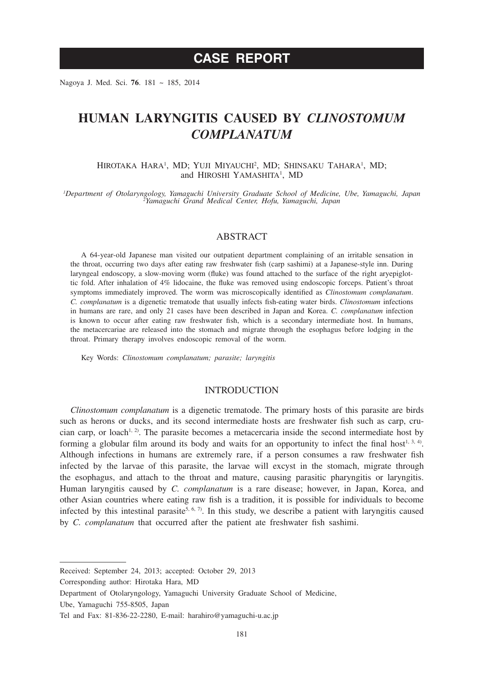# **CASE REPORT**

Nagoya J. Med. Sci. **76**. 181 ~ 185, 2014

# **HUMAN LARYNGITIS CAUSED BY** *CLINOSTOMUM COMPLANATUM*

### HIROTAKA HARA<sup>1</sup>, MD; YUJI MIYAUCHI<sup>2</sup>, MD; SHINSAKU TAHARA<sup>1</sup>, MD; and HIROSHI YAMASHITA<sup>1</sup>, MD

*1 Department of Otolaryngology, Yamaguchi University Graduate School of Medicine, Ube, Yamaguchi, Japan <sup>2</sup> Yamaguchi Grand Medical Center, Hofu, Yamaguchi, Japan*

### ABSTRACT

A 64-year-old Japanese man visited our outpatient department complaining of an irritable sensation in the throat, occurring two days after eating raw freshwater fish (carp sashimi) at a Japanese-style inn. During laryngeal endoscopy, a slow-moving worm (fluke) was found attached to the surface of the right aryepiglottic fold. After inhalation of 4% lidocaine, the fluke was removed using endoscopic forceps. Patient's throat symptoms immediately improved. The worm was microscopically identified as *Clinostomum complanatum*. *C. complanatum* is a digenetic trematode that usually infects fish-eating water birds. *Clinostomum* infections in humans are rare, and only 21 cases have been described in Japan and Korea. *C. complanatum* infection is known to occur after eating raw freshwater fish, which is a secondary intermediate host. In humans, the metacercariae are released into the stomach and migrate through the esophagus before lodging in the throat. Primary therapy involves endoscopic removal of the worm.

Key Words: *Clinostomum complanatum; parasite; laryngitis*

## INTRODUCTION

*Clinostomum complanatum* is a digenetic trematode. The primary hosts of this parasite are birds such as herons or ducks, and its second intermediate hosts are freshwater fish such as carp, crucian carp, or loach<sup>1, 2)</sup>. The parasite becomes a metacercaria inside the second intermediate host by forming a globular film around its body and waits for an opportunity to infect the final host<sup>1, 3, 4)</sup>. Although infections in humans are extremely rare, if a person consumes a raw freshwater fish infected by the larvae of this parasite, the larvae will excyst in the stomach, migrate through the esophagus, and attach to the throat and mature, causing parasitic pharyngitis or laryngitis. Human laryngitis caused by *C. complanatum* is a rare disease; however, in Japan, Korea, and other Asian countries where eating raw fish is a tradition, it is possible for individuals to become infected by this intestinal parasite<sup>5, 6, 7)</sup>. In this study, we describe a patient with laryngitis caused by *C. complanatum* that occurred after the patient ate freshwater fish sashimi.

Corresponding author: Hirotaka Hara, MD

Ube, Yamaguchi 755-8505, Japan

Received: September 24, 2013; accepted: October 29, 2013

Department of Otolaryngology, Yamaguchi University Graduate School of Medicine,

Tel and Fax: 81-836-22-2280, E-mail: harahiro@yamaguchi-u.ac.jp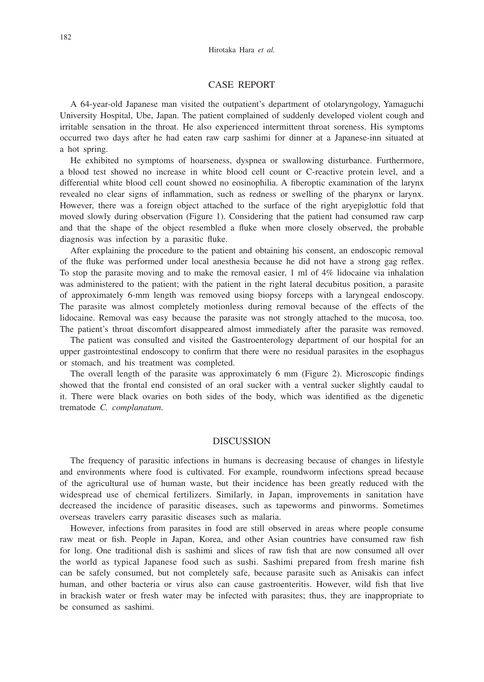## CASE REPORT

A 64-year-old Japanese man visited the outpatient's department of otolaryngology, Yamaguchi University Hospital, Ube, Japan. The patient complained of suddenly developed violent cough and irritable sensation in the throat. He also experienced intermittent throat soreness. His symptoms occurred two days after he had eaten raw carp sashimi for dinner at a Japanese-inn situated at a hot spring.

He exhibited no symptoms of hoarseness, dyspnea or swallowing disturbance. Furthermore, a blood test showed no increase in white blood cell count or C-reactive protein level, and a differential white blood cell count showed no eosinophilia. A fiberoptic examination of the larynx revealed no clear signs of inflammation, such as redness or swelling of the pharynx or larynx. However, there was a foreign object attached to the surface of the right aryepiglottic fold that moved slowly during observation (Figure 1). Considering that the patient had consumed raw carp and that the shape of the object resembled a fluke when more closely observed, the probable diagnosis was infection by a parasitic fluke.

After explaining the procedure to the patient and obtaining his consent, an endoscopic removal of the fluke was performed under local anesthesia because he did not have a strong gag reflex. To stop the parasite moving and to make the removal easier, 1 ml of 4% lidocaine via inhalation was administered to the patient; with the patient in the right lateral decubitus position, a parasite of approximately 6-mm length was removed using biopsy forceps with a laryngeal endoscopy. The parasite was almost completely motionless during removal because of the effects of the lidocaine. Removal was easy because the parasite was not strongly attached to the mucosa, too. The patient's throat discomfort disappeared almost immediately after the parasite was removed.

The patient was consulted and visited the Gastroenterology department of our hospital for an upper gastrointestinal endoscopy to confirm that there were no residual parasites in the esophagus or stomach, and his treatment was completed.

The overall length of the parasite was approximately 6 mm (Figure 2). Microscopic findings showed that the frontal end consisted of an oral sucker with a ventral sucker slightly caudal to it. There were black ovaries on both sides of the body, which was identified as the digenetic trematode *C. complanatum*.

## **DISCUSSION**

The frequency of parasitic infections in humans is decreasing because of changes in lifestyle and environments where food is cultivated. For example, roundworm infections spread because of the agricultural use of human waste, but their incidence has been greatly reduced with the widespread use of chemical fertilizers. Similarly, in Japan, improvements in sanitation have decreased the incidence of parasitic diseases, such as tapeworms and pinworms. Sometimes overseas travelers carry parasitic diseases such as malaria.

However, infections from parasites in food are still observed in areas where people consume raw meat or fish. People in Japan, Korea, and other Asian countries have consumed raw fish for long. One traditional dish is sashimi and slices of raw fish that are now consumed all over the world as typical Japanese food such as sushi. Sashimi prepared from fresh marine fish can be safely consumed, but not completely safe, because parasite such as Anisakis can infect human, and other bacteria or virus also can cause gastroenteritis. However, wild fish that live in brackish water or fresh water may be infected with parasites; thus, they are inappropriate to be consumed as sashimi.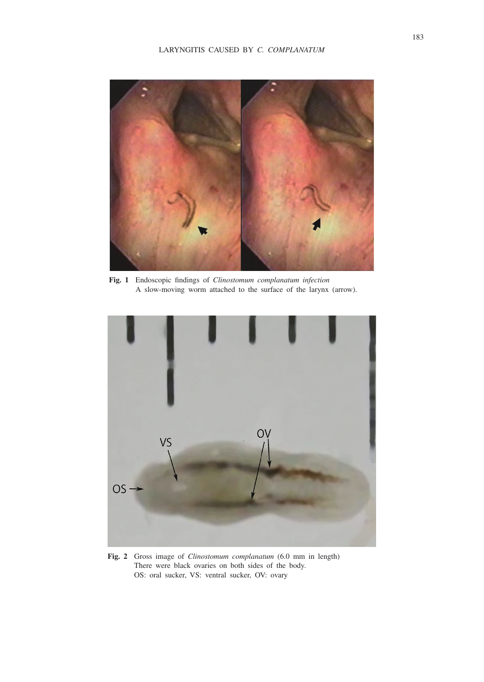

**Fig. 1** Endoscopic findings of *Clinostomum complanatum infection* A slow-moving worm attached to the surface of the larynx (arrow).



**Fig. 2** Gross image of *Clinostomum complanatum* (6.0 mm in length) There were black ovaries on both sides of the body. OS: oral sucker, VS: ventral sucker, OV: ovary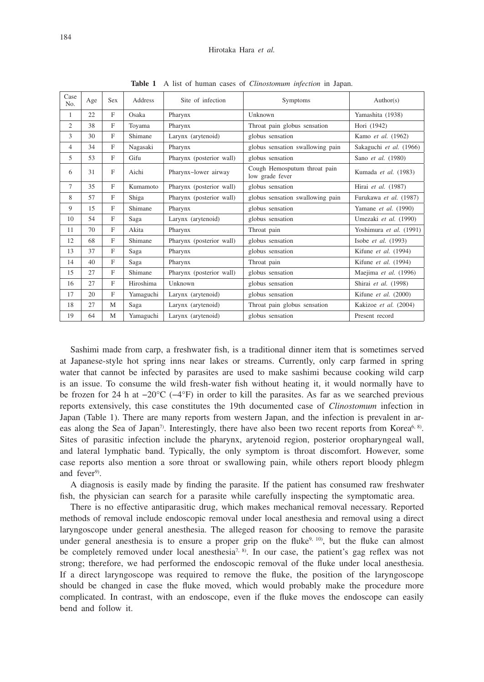| Case<br>No.    | Age | <b>Sex</b> | Address   | Site of infection        | Symptoms                                        | Author(s)               |
|----------------|-----|------------|-----------|--------------------------|-------------------------------------------------|-------------------------|
| 1              | 22  | F          | Osaka     | Pharynx                  | Unknown                                         | Yamashita (1938)        |
| 2              | 38  | F          | Toyama    | Pharynx                  | Throat pain globus sensation                    | Hori (1942)             |
| 3              | 30  | F          | Shimane   | Larynx (arytenoid)       | globus sensation                                | Kamo et al. (1962)      |
| $\overline{4}$ | 34  | F          | Nagasaki  | Pharynx                  | globus sensation swallowing pain                | Sakaguchi et al. (1966) |
| 5              | 53  | F          | Gifu      | Pharynx (posterior wall) | globus sensation                                | Sano et al. (1980)      |
| 6              | 31  | F          | Aichi     | Pharynx~lower airway     | Cough Hemosputum throat pain<br>low grade fever | Kumada et al. (1983)    |
| $\tau$         | 35  | F          | Kumamoto  | Pharynx (posterior wall) | globus sensation                                | Hirai et al. (1987)     |
| 8              | 57  | F          | Shiga     | Pharynx (posterior wall) | globus sensation swallowing pain                | Furukawa et al. (1987)  |
| 9              | 15  | F          | Shimane   | Pharynx                  | globus sensation                                | Yamane et al. (1990)    |
| 10             | 54  | F          | Saga      | Larynx (arytenoid)       | globus sensation                                | Umezaki et al. (1990)   |
| 11             | 70  | F          | Akita     | Pharynx                  | Throat pain                                     | Yoshimura et al. (1991) |
| 12             | 68  | F          | Shimane   | Pharynx (posterior wall) | globus sensation                                | Isobe et al. (1993)     |
| 13             | 37  | F          | Saga      | Pharynx                  | globus sensation                                | Kifune et al. (1994)    |
| 14             | 40  | F          | Saga      | Pharynx                  | Throat pain                                     | Kifune et al. (1994)    |
| 15             | 27  | F          | Shimane   | Pharynx (posterior wall) | globus sensation                                | Maejima et al. (1996)   |
| 16             | 27  | F          | Hiroshima | Unknown                  | globus sensation                                | Shirai et al. (1998)    |
| 17             | 20  | F          | Yamaguchi | Larynx (arytenoid)       | globus sensation                                | Kifune et al. (2000)    |
| 18             | 27  | M          | Saga      | Larynx (arytenoid)       | Throat pain globus sensation                    | Kakizoe et al. (2004)   |
| 19             | 64  | M          | Yamaguchi | Larynx (arytenoid)       | globus sensation                                | Present record          |

**Table 1** A list of human cases of *Clinostomum infection* in Japan.

Sashimi made from carp, a freshwater fish, is a traditional dinner item that is sometimes served at Japanese-style hot spring inns near lakes or streams. Currently, only carp farmed in spring water that cannot be infected by parasites are used to make sashimi because cooking wild carp is an issue. To consume the wild fresh-water fish without heating it, it would normally have to be frozen for 24 h at −20°C (−4°F) in order to kill the parasites. As far as we searched previous reports extensively, this case constitutes the 19th documented case of *Clinostomum* infection in Japan (Table 1). There are many reports from western Japan, and the infection is prevalent in areas along the Sea of Japan<sup>7</sup>. Interestingly, there have also been two recent reports from Korea<sup>6, 8)</sup>. Sites of parasitic infection include the pharynx, arytenoid region, posterior oropharyngeal wall, and lateral lymphatic band. Typically, the only symptom is throat discomfort. However, some case reports also mention a sore throat or swallowing pain, while others report bloody phlegm and fever<sup>9)</sup>.

A diagnosis is easily made by finding the parasite. If the patient has consumed raw freshwater fish, the physician can search for a parasite while carefully inspecting the symptomatic area.

There is no effective antiparasitic drug, which makes mechanical removal necessary. Reported methods of removal include endoscopic removal under local anesthesia and removal using a direct laryngoscope under general anesthesia. The alleged reason for choosing to remove the parasite under general anesthesia is to ensure a proper grip on the fluke<sup>9, 10</sup>, but the fluke can almost be completely removed under local anesthesia<sup>7, 8)</sup>. In our case, the patient's gag reflex was not strong; therefore, we had performed the endoscopic removal of the fluke under local anesthesia. If a direct laryngoscope was required to remove the fluke, the position of the laryngoscope should be changed in case the fluke moved, which would probably make the procedure more complicated. In contrast, with an endoscope, even if the fluke moves the endoscope can easily bend and follow it.